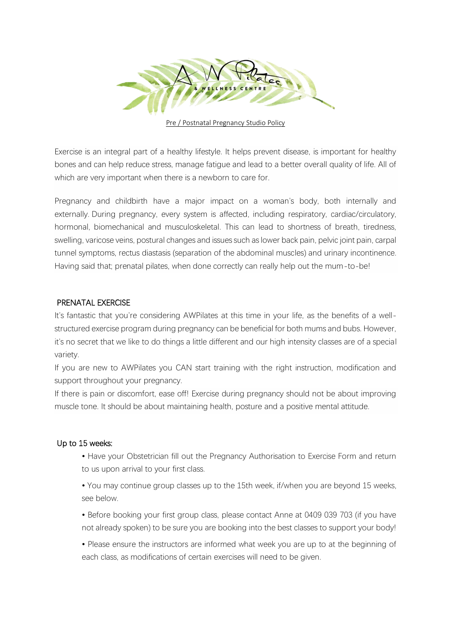

Pre / Postnatal Pregnancy Studio Policy

Exercise is an integral part of a healthy lifestyle. It helps prevent disease, is important for healthy bones and can help reduce stress, manage fatigue and lead to a better overall quality of life. All of which are very important when there is a newborn to care for.

Pregnancy and childbirth have a major impact on a woman's body, both internally and externally. During pregnancy, every system is affected, including respiratory, cardiac/circulatory, hormonal, biomechanical and musculoskeletal. This can lead to shortness of breath, tiredness, swelling, varicose veins, postural changes and issues such as lower back pain, pelvic joint pain, carpal tunnel symptoms, rectus diastasis (separation of the abdominal muscles) and urinary incontinence. Having said that; prenatal pilates, when done correctly can really help out the mum-to-be!

#### PRENATAL EXERCISE

It's fantastic that you're considering AWPilates at this time in your life, as the benefits of a wellstructured exercise program during pregnancy can be beneficial for both mums and bubs. However, it's no secret that we like to do things a little different and our high intensity classes are of a special variety.

If you are new to AWPilates you CAN start training with the right instruction, modification and support throughout your pregnancy.

If there is pain or discomfort, ease off! Exercise during pregnancy should not be about improving muscle tone. It should be about maintaining health, posture and a positive mental attitude.

#### Up to 15 weeks:

• Have your Obstetrician fill out the Pregnancy Authorisation to Exercise Form and return to us upon arrival to your first class.

• You may continue group classes up to the 15th week, if/when you are beyond 15 weeks, see below.

• Before booking your first group class, please contact Anne at 0409 039 703 (if you have not already spoken) to be sure you are booking into the best classes to support your body!

• Please ensure the instructors are informed what week you are up to at the beginning of each class, as modifications of certain exercises will need to be given.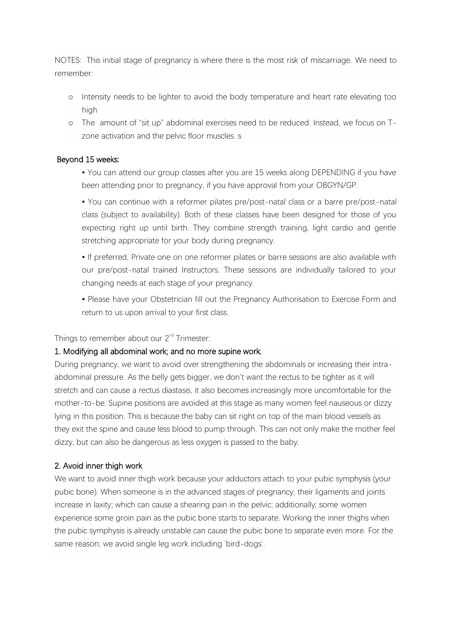NOTES: This initial stage of pregnancy is where there is the most risk of miscarriage. We need to remember:

- o Intensity needs to be lighter to avoid the body temperature and heart rate elevating too high
- o The amount of "sit up" abdominal exercises need to be reduced. Instead, we focus on Tzone activation and the pelvic floor muscles. s

#### Beyond 15 weeks:

• You can attend our group classes after you are 15 weeks along DEPENDING if you have been attending prior to pregnancy, if you have approval from your OBGYN/GP.

• You can continue with a reformer pilates pre/post-natal class or a barre pre/post-natal class (subject to availability). Both of these classes have been designed for those of you expecting right up until birth. They combine strength training, light cardio and gentle stretching appropriate for your body during pregnancy.

• If preferred, Private one on one reformer pilates or barre sessions are also available with our pre/post-natal trained Instructors. These sessions are individually tailored to your changing needs at each stage of your pregnancy.

• Please have your Obstetrician fill out the Pregnancy Authorisation to Exercise Form and return to us upon arrival to your first class.

Things to remember about our 2<sup>nd</sup> Trimester:

#### 1. Modifying all abdominal work; and no more supine work.

During pregnancy, we want to avoid over strengthening the abdominals or increasing their intraabdominal pressure. As the belly gets bigger, we don't want the rectus to be tighter as it will stretch and can cause a rectus diastasis, it also becomes increasingly more uncomfortable for the mother-to-be. Supine positions are avoided at this stage as many women feel nauseous or dizzy lying in this position. This is because the baby can sit right on top of the main blood vessels as they exit the spine and cause less blood to pump through. This can not only make the mother feel dizzy, but can also be dangerous as less oxygen is passed to the baby.

#### 2. Avoid inner thigh work

We want to avoid inner thigh work because your adductors attach to your pubic symphysis (your pubic bone). When someone is in the advanced stages of pregnancy, their ligaments and joints increase in laxity; which can cause a shearing pain in the pelvic; additionally; some women experience some groin pain as the pubic bone starts to separate. Working the inner thighs when the pubic symphysis is already unstable can cause the pubic bone to separate even more. For the same reason; we avoid single leg work including 'bird-dogs'.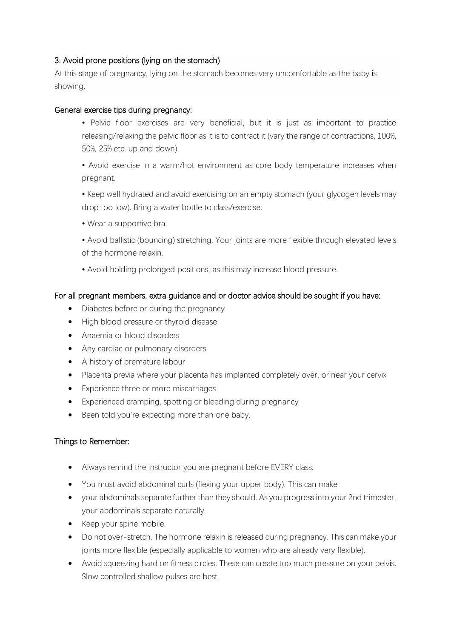## 3. Avoid prone positions (lying on the stomach)

At this stage of pregnancy, lying on the stomach becomes very uncomfortable as the baby is showing.

### General exercise tips during pregnancy:

• Pelvic floor exercises are very beneficial, but it is just as important to practice releasing/relaxing the pelvic floor as it is to contract it (vary the range of contractions, 100%, 50%, 25% etc. up and down).

• Avoid exercise in a warm/hot environment as core body temperature increases when pregnant.

- Keep well hydrated and avoid exercising on an empty stomach (your glycogen levels may drop too low). Bring a water bottle to class/exercise.
- Wear a supportive bra.

• Avoid ballistic (bouncing) stretching. Your joints are more flexible through elevated levels of the hormone relaxin.

• Avoid holding prolonged positions, as this may increase blood pressure.

## For all pregnant members, extra guidance and or doctor advice should be sought if you have:

- Diabetes before or during the pregnancy
- High blood pressure or thyroid disease
- Anaemia or blood disorders
- Any cardiac or pulmonary disorders
- A history of premature labour
- Placenta previa where your placenta has implanted completely over, or near your cervix
- Experience three or more miscarriages
- Experienced cramping, spotting or bleeding during pregnancy
- Been told you're expecting more than one baby.

# Things to Remember:

- Always remind the instructor you are pregnant before EVERY class.
- You must avoid abdominal curls (flexing your upper body). This can make
- your abdominals separate further than they should. As you progress into your 2nd trimester, your abdominals separate naturally.
- Keep your spine mobile.
- Do not over-stretch. The hormone relaxin is released during pregnancy. This can make your joints more flexible (especially applicable to women who are already very flexible).
- Avoid squeezing hard on fitness circles. These can create too much pressure on your pelvis. Slow controlled shallow pulses are best.